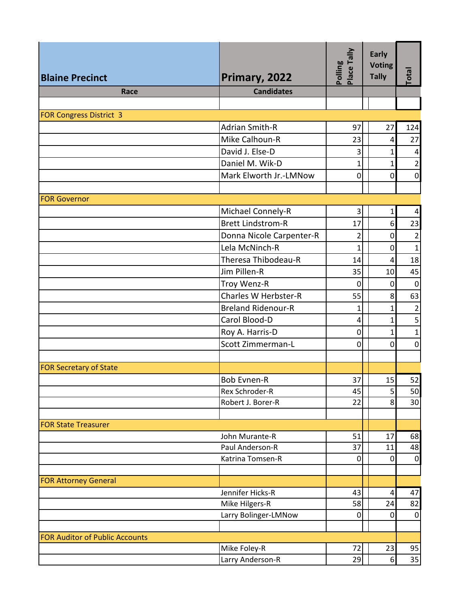|                                       |                           | Place Tally<br>Polling | <b>Early</b><br><b>Voting</b> |                   |
|---------------------------------------|---------------------------|------------------------|-------------------------------|-------------------|
| <b>Blaine Precinct</b>                | Primary, 2022             |                        | <b>Tally</b>                  | Total             |
| Race                                  | <b>Candidates</b>         |                        |                               |                   |
|                                       |                           |                        |                               |                   |
| <b>FOR Congress District 3</b>        |                           |                        |                               |                   |
|                                       | <b>Adrian Smith-R</b>     | 97                     | 27                            | 124               |
|                                       | Mike Calhoun-R            | 23                     | 4                             | 27                |
|                                       | David J. Else-D           | 3                      | 1                             | 4                 |
|                                       | Daniel M. Wik-D           | 1                      | 1                             | $\overline{2}$    |
|                                       | Mark Elworth Jr.-LMNow    | $\mathbf 0$            | $\mathbf 0$                   | $\overline{0}$    |
|                                       |                           |                        |                               |                   |
| <b>FOR Governor</b>                   |                           |                        |                               |                   |
|                                       | Michael Connely-R         | 3                      | 1                             | 4                 |
|                                       | <b>Brett Lindstrom-R</b>  | 17                     | 6                             | 23                |
|                                       | Donna Nicole Carpenter-R  | $\overline{2}$         | 0                             | $\overline{2}$    |
|                                       | Lela McNinch-R            | $\mathbf{1}$           | 0                             | $\mathbf{1}$      |
|                                       | Theresa Thibodeau-R       | 14                     | 4                             | 18                |
|                                       | Jim Pillen-R              | 35                     | 10                            | 45                |
|                                       | Troy Wenz-R               | $\mathbf 0$            | $\mathbf 0$                   | $\overline{0}$    |
|                                       | Charles W Herbster-R      | 55                     | 8                             | 63                |
|                                       | <b>Breland Ridenour-R</b> | 1                      | 1                             | $\overline{2}$    |
|                                       | Carol Blood-D             | 4                      | 1                             | 5 <sup>1</sup>    |
|                                       | Roy A. Harris-D           | $\mathbf 0$            | 1                             | $\mathbf{1}$      |
|                                       | Scott Zimmerman-L         | $\mathbf 0$            | 0                             | $\mathbf 0$       |
|                                       |                           |                        |                               |                   |
| <b>FOR Secretary of State</b>         |                           |                        |                               |                   |
|                                       | <b>Bob Evnen-R</b>        | 37                     | 15                            | 52                |
|                                       | Rex Schroder-R            | 45                     | 5                             | 50                |
|                                       | Robert J. Borer-R         | 22                     | 8                             | 30                |
|                                       |                           |                        |                               |                   |
| <b>FOR State Treasurer</b>            |                           |                        |                               |                   |
|                                       | John Murante-R            | 51                     | 17                            | 68                |
|                                       | Paul Anderson-R           | 37                     | 11                            | 48                |
|                                       | Katrina Tomsen-R          | $\pmb{0}$              | $\mathbf 0$                   | $\overline{0}$    |
|                                       |                           |                        |                               |                   |
| <b>FOR Attorney General</b>           |                           |                        |                               |                   |
|                                       | Jennifer Hicks-R          | 43                     | 4                             | 47                |
|                                       | Mike Hilgers-R            | 58                     | 24                            | 82<br>$\mathbf 0$ |
|                                       | Larry Bolinger-LMNow      | 0                      | 0                             |                   |
| <b>FOR Auditor of Public Accounts</b> |                           |                        |                               |                   |
|                                       | Mike Foley-R              | 72                     | 23                            | 95                |
|                                       | Larry Anderson-R          | 29                     | 6                             | 35                |
|                                       |                           |                        |                               |                   |